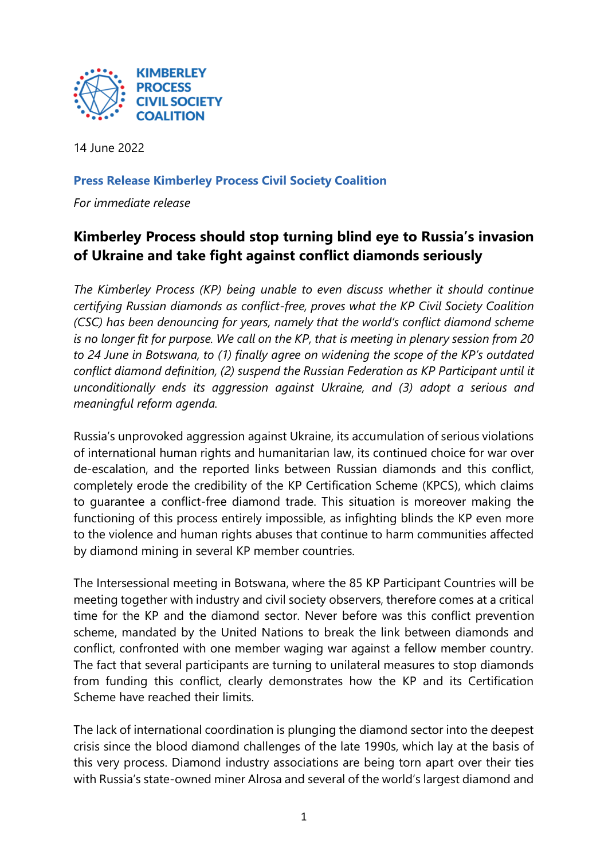

14 June 2022

## **Press Release Kimberley Process Civil Society Coalition**

*For immediate release* 

## **Kimberley Process should stop turning blind eye to Russia's invasion of Ukraine and take fight against conflict diamonds seriously**

*The Kimberley Process (KP) being unable to even discuss whether it should continue certifying Russian diamonds as conflict-free, proves what the KP Civil Society Coalition (CSC) has been denouncing for years, namely that the world's conflict diamond scheme is no longer fit for purpose. We call on the KP, that is meeting in plenary session from 20 to 24 June in Botswana, to (1) finally agree on widening the scope of the KP's outdated conflict diamond definition, (2) suspend the Russian Federation as KP Participant until it unconditionally ends its aggression against Ukraine, and (3) adopt a serious and meaningful reform agenda.*

Russia's unprovoked aggression against Ukraine, its accumulation of serious violations of international human rights and humanitarian law, its continued choice for war over de-escalation, and the reported links between Russian diamonds and this conflict, completely erode the credibility of the KP Certification Scheme (KPCS), which claims to guarantee a conflict-free diamond trade. This situation is moreover making the functioning of this process entirely impossible, as infighting blinds the KP even more to the violence and human rights abuses that continue to harm communities affected by diamond mining in several KP member countries.

The Intersessional meeting in Botswana, where the 85 KP Participant Countries will be meeting together with industry and civil society observers, therefore comes at a critical time for the KP and the diamond sector. Never before was this conflict prevention scheme, mandated by the United Nations to break the link between diamonds and conflict, confronted with one member waging war against a fellow member country. The fact that several participants are turning to unilateral measures to stop diamonds from funding this conflict, clearly demonstrates how the KP and its Certification Scheme have reached their limits.

The lack of international coordination is plunging the diamond sector into the deepest crisis since the blood diamond challenges of the late 1990s, which lay at the basis of this very process. Diamond industry associations are being torn apart over their ties with Russia's state-owned miner Alrosa and several of the world's largest diamond and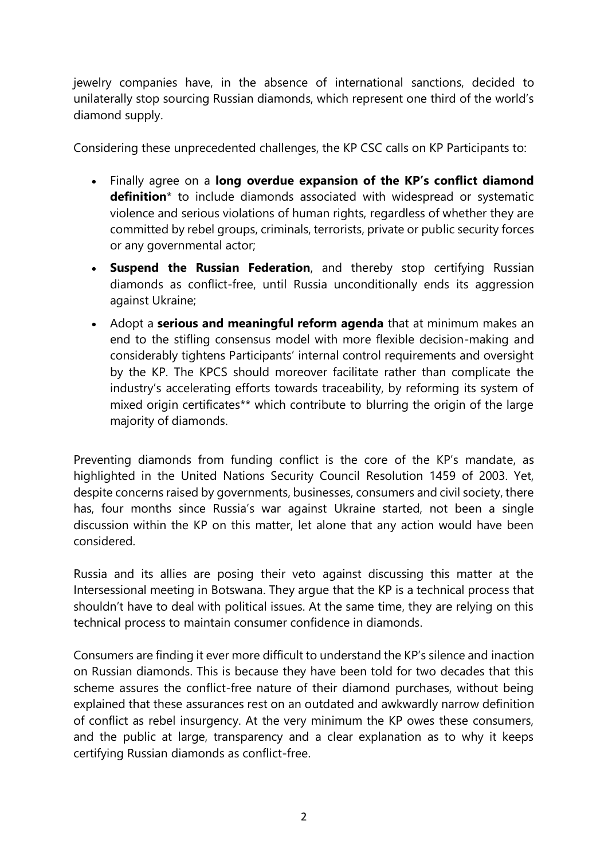jewelry companies have, in the absence of international sanctions, decided to unilaterally stop sourcing Russian diamonds, which represent one third of the world's diamond supply.

Considering these unprecedented challenges, the KP CSC calls on KP Participants to:

- Finally agree on a **long overdue expansion of the KP's conflict diamond definition**\* to include diamonds associated with widespread or systematic violence and serious violations of human rights, regardless of whether they are committed by rebel groups, criminals, terrorists, private or public security forces or any governmental actor;
- **Suspend the Russian Federation**, and thereby stop certifying Russian diamonds as conflict-free, until Russia unconditionally ends its aggression against Ukraine;
- Adopt a **serious and meaningful reform agenda** that at minimum makes an end to the stifling consensus model with more flexible decision-making and considerably tightens Participants' internal control requirements and oversight by the KP. The KPCS should moreover facilitate rather than complicate the industry's accelerating efforts towards traceability, by reforming its system of mixed origin certificates\*\* which contribute to blurring the origin of the large majority of diamonds.

Preventing diamonds from funding conflict is the core of the KP's mandate, as highlighted in the United Nations Security Council Resolution 1459 of 2003. Yet, despite concerns raised by governments, businesses, consumers and civil society, there has, four months since Russia's war against Ukraine started, not been a single discussion within the KP on this matter, let alone that any action would have been considered.

Russia and its allies are posing their veto against discussing this matter at the Intersessional meeting in Botswana. They argue that the KP is a technical process that shouldn't have to deal with political issues. At the same time, they are relying on this technical process to maintain consumer confidence in diamonds.

Consumers are finding it ever more difficult to understand the KP's silence and inaction on Russian diamonds. This is because they have been told for two decades that this scheme assures the conflict-free nature of their diamond purchases, without being explained that these assurances rest on an outdated and awkwardly narrow definition of conflict as rebel insurgency. At the very minimum the KP owes these consumers, and the public at large, transparency and a clear explanation as to why it keeps certifying Russian diamonds as conflict-free.